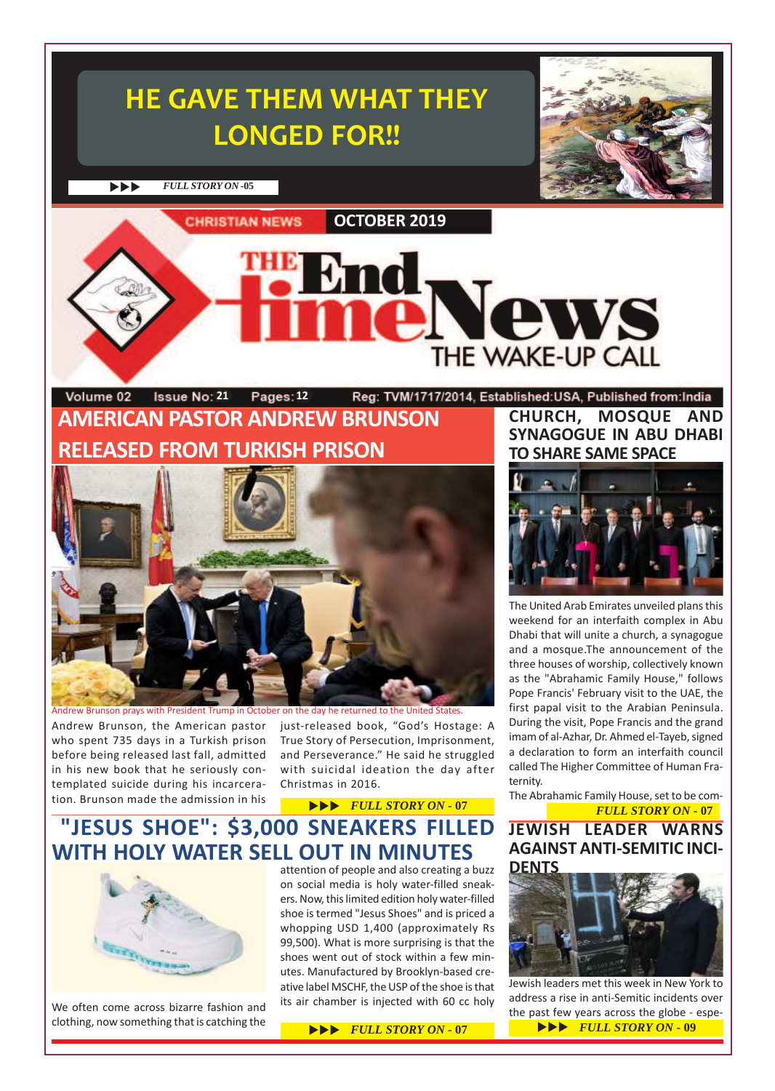## **HE GAVE THEM WHAT THEY LONGED FOR!!**



**EULL STORY ON -05** 

**CHRISTIAN NEWS** 

**OCTOBER 2019**

# Yews THE WAKE-UP CALL

**21 12** Reg: TVM/1717/2014, Established:USA, Published from:India Volume 02 **AMERICAN PASTOR ANDREW BRUNSON RELEASED FROM TURKISH PRISON**



Andrew Brunson prays with President Trump in October on the day he returned to the United States.

Andrew Brunson, the American pastor who spent 735 days in a Turkish prison before being released last fall, admitted in his new book that he seriously contemplated suicide during his incarceration. Brunson made the admission in his

just-released book, "God's Hostage: A True Story of Persecution, Imprisonment, and Perseverance." He said he struggled with suicidal ideation the day after Christmas in 2016.

 $\blacktriangleright\blacktriangleright\blacktriangleright$  *FULL STORY ON* - 07

## **"JESUS SHOE": \$3,000 SNEAKERS FILLED WITH HOLY WATER SELL OUT IN MINUTES**



We often come across bizarre fashion and clothing, now something that is catching the attention of people and also creating a buzz on social media is holy water-filled sneakers. Now, this limited edition holy water-filled shoe is termed "Jesus Shoes" and is priced a whopping USD 1,400 (approximately Rs 99,500). What is more surprising is that the shoes went out of stock within a few minutes. Manufactured by Brooklyn-based creative label MSCHF, the USP of the shoe is that its air chamber is injected with 60 cc holy

 $\triangleright \triangleright \triangleright$  *FULL STORY ON* - 07  $\triangleright \triangleright$  *FULL STORY ON* - 09

**CHURCH, MOSQUE AND SYNAGOGUE IN ABU DHABI TO SHARE SAME SPACE**



The United Arab Emirates unveiled plans this weekend for an interfaith complex in Abu Dhabi that will unite a church, a synagogue and a mosque.The announcement of the three houses of worship, collectively known as the "Abrahamic Family House," follows Pope Francis' February visit to the UAE, the first papal visit to the Arabian Peninsula. During the visit, Pope Francis and the grand imam of al-Azhar, Dr. Ahmed el-Tayeb, signed a declaration to form an interfaith council called The Higher Committee of Human Fraternity.

*FULL STORY ON* **- 07** The Abrahamic Family House, set to be com-

**JEWISH LEADER WARNS AGAINST ANTI-SEMITIC INCI-DENTS**



Jewish leaders met this week in New York to address a rise in anti-Semitic incidents over the past few years across the globe - espe-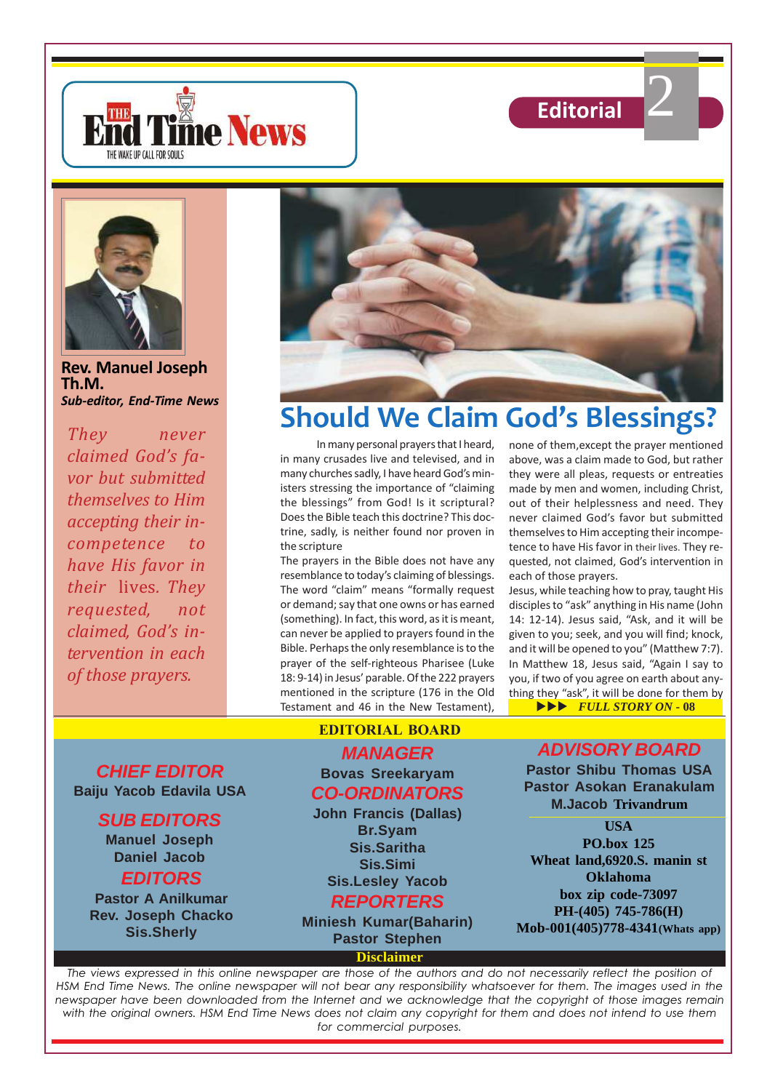





**Rev. Manuel Joseph Th.M.** *Sub-editor, End-Time News*

*They never claimed God's favor but submitted themselves to Him accepting their incompetence to have His favor in their* lives*. They requested, not claimed, God's intervention in each of those prayers.*



## **Should We Claim God's Blessings?**

In many personal prayers that I heard, in many crusades live and televised, and in many churches sadly, I have heard God's ministers stressing the importance of "claiming the blessings" from God! Is it scriptural? Does the Bible teach this doctrine? This doctrine, sadly, is neither found nor proven in the scripture

The prayers in the Bible does not have any resemblance to today's claiming of blessings. The word "claim" means "formally request or demand; say that one owns or has earned (something). In fact, this word, as it is meant, can never be applied to prayers found in the Bible. Perhaps the only resemblance is to the prayer of the self-righteous Pharisee (Luke 18: 9-14) in Jesus' parable. Of the 222 prayers mentioned in the scripture (176 in the Old Testament and 46 in the New Testament),

none of them,except the prayer mentioned above, was a claim made to God, but rather they were all pleas, requests or entreaties made by men and women, including Christ, out of their helplessness and need. They never claimed God's favor but submitted themselves to Him accepting their incompetence to have His favor in their lives. They requested, not claimed, God's intervention in each of those prayers.

Jesus, while teaching how to pray, taught His disciples to "ask" anything in His name (John 14: 12-14). Jesus said, "Ask, and it will be given to you; seek, and you will find; knock, and it will be opened to you" (Matthew 7:7). In Matthew 18, Jesus said, "Again I say to you, if two of you agree on earth about anything they "ask", it will be done for them by **UPPENDIATELY FULL STORY ON** - 08

**CHIEF EDITOR Baiju Yacob Edavila USA**

### **SUB EDITORS**

**Manuel Joseph Daniel Jacob**

**EDITORS**

**Pastor A Anilkumar Rev. Joseph Chacko Sis.Sherly**

#### **EDITORIAL BOARD**

### **MANAGER Bovas Sreekaryam CO-ORDINATORS**

**John Francis (Dallas) Br.Syam Sis.Saritha Sis.Simi Sis.Lesley Yacob**

## **REPORTERS**

**Miniesh Kumar(Baharin) Pastor Stephen**

**Disclaimer**

## **ADVISORY BOARD**

**Pastor Shibu Thomas USA Pastor Asokan Eranakulam M.Jacob Trivandrum**

**USA PO.box 125 Wheat land,6920.S. manin st Oklahoma box zip code-73097 PH-(405) 745-786(H) Mob-001(405)778-4341(Whats app)**

*The views expressed in this online newspaper are those of the authors and do not necessarily reflect the position of HSM End Time News. The online newspaper will not bear any responsibility whatsoever for them. The images used in the newspaper have been downloaded from the Internet and we acknowledge that the copyright of those images remain with the original owners. HSM End Time News does not claim any copyright for them and does not intend to use them for commercial purposes.*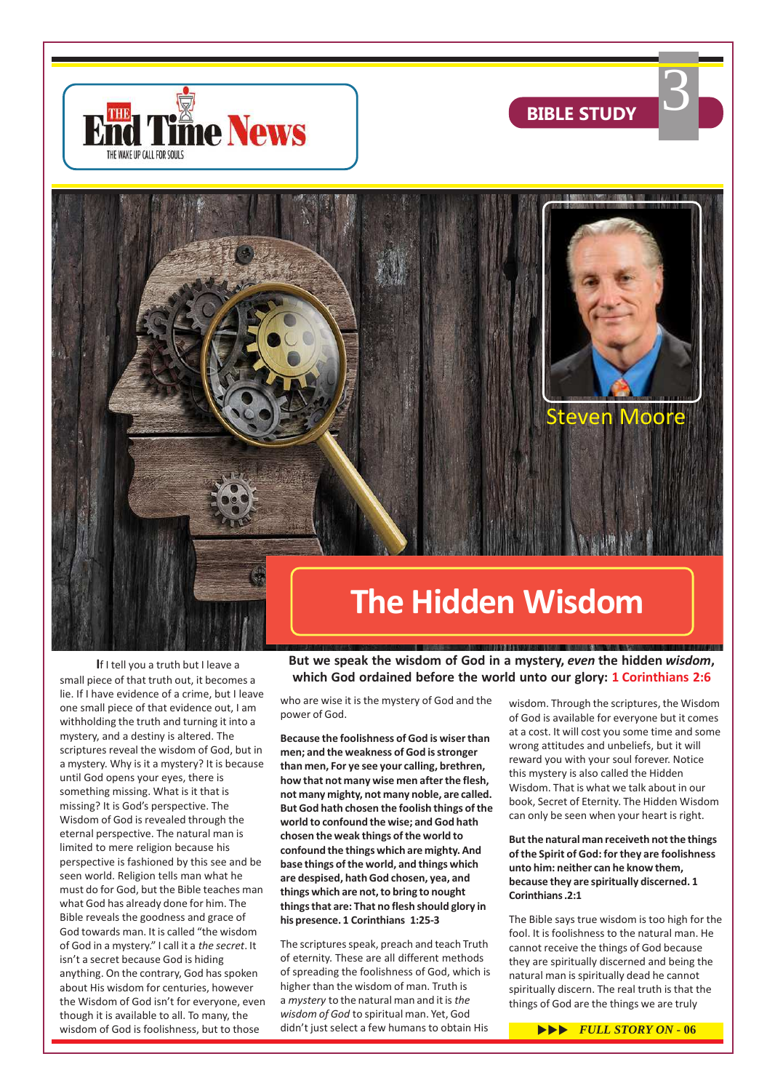



3



**I**f I tell you a truth but I leave a small piece of that truth out, it becomes a lie. If I have evidence of a crime, but I leave one small piece of that evidence out, I am withholding the truth and turning it into a mystery, and a destiny is altered. The scriptures reveal the wisdom of God, but in a mystery. Why is it a mystery? It is because until God opens your eyes, there is something missing. What is it that is missing? It is God's perspective. The Wisdom of God is revealed through the eternal perspective. The natural man is limited to mere religion because his perspective is fashioned by this see and be seen world. Religion tells man what he must do for God, but the Bible teaches man what God has already done for him. The Bible reveals the goodness and grace of God towards man. It is called "the wisdom of God in a mystery." I call it a *the secret*. It isn't a secret because God is hiding anything. On the contrary, God has spoken about His wisdom for centuries, however the Wisdom of God isn't for everyone, even though it is available to all. To many, the wisdom of God is foolishness, but to those

#### **But we speak the wisdom of God in a mystery,** *even* **the hidden** *wisdom***, which God ordained before the world unto our glory: 1 Corinthians 2:6**

who are wise it is the mystery of God and the power of God.

**Because the foolishness of God is wiser than men; and the weakness of God is stronger than men, For ye see your calling, brethren, how that not many wise men after the flesh, not many mighty, not many noble, are called. But God hath chosen the foolish things of the world to confound the wise; and God hath chosen the weak things of the world to confound the things which are mighty. And base things of the world, and things which are despised, hath God chosen, yea, and things which are not, to bring to nought things that are: That no flesh should glory in his presence. 1 Corinthians 1:25-3**

The scriptures speak, preach and teach Truth of eternity. These are all different methods of spreading the foolishness of God, which is higher than the wisdom of man. Truth is a *mystery* to the natural man and it is *the wisdom of God* to spiritual man. Yet, God didn't just select a few humans to obtain His

wisdom. Through the scriptures, the Wisdom of God is available for everyone but it comes at a cost. It will cost you some time and some wrong attitudes and unbeliefs, but it will reward you with your soul forever. Notice this mystery is also called the Hidden Wisdom. That is what we talk about in our book, Secret of Eternity. The Hidden Wisdom can only be seen when your heart is right.

**But the natural man receiveth not the things of the Spirit of God: for they are foolishness unto him: neither can he know them, because they are spiritually discerned. 1 Corinthians .2:1**

The Bible says true wisdom is too high for the fool. It is foolishness to the natural man. He cannot receive the things of God because they are spiritually discerned and being the natural man is spiritually dead he cannot spiritually discern. The real truth is that the things of God are the things we are truly

 $\blacktriangleright\blacktriangleright\blacktriangleright$  *FULL STORY ON* - 06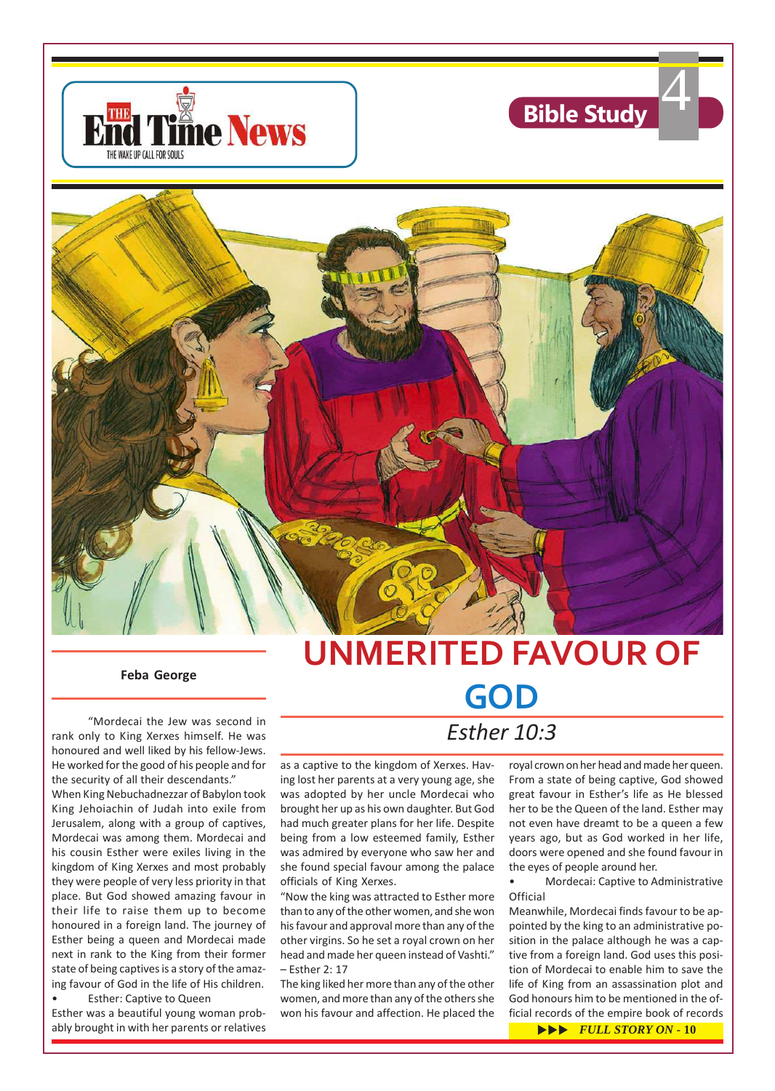





#### **Feba George**

"Mordecai the Jew was second in rank only to King Xerxes himself. He was honoured and well liked by his fellow-Jews. He worked for the good of his people and for the security of all their descendants."

When King Nebuchadnezzar of Babylon took King Jehoiachin of Judah into exile from Jerusalem, along with a group of captives, Mordecai was among them. Mordecai and his cousin Esther were exiles living in the kingdom of King Xerxes and most probably they were people of very less priority in that place. But God showed amazing favour in their life to raise them up to become honoured in a foreign land. The journey of Esther being a queen and Mordecai made next in rank to the King from their former state of being captives is a story of the amazing favour of God in the life of His children.

• Esther: Captive to Queen Esther was a beautiful young woman probably brought in with her parents or relatives

## *Esther 10:3* **UNMERITED FAVOUR OF GOD**

as a captive to the kingdom of Xerxes. Having lost her parents at a very young age, she was adopted by her uncle Mordecai who brought her up as his own daughter. But God had much greater plans for her life. Despite being from a low esteemed family, Esther was admired by everyone who saw her and she found special favour among the palace officials of King Xerxes.

"Now the king was attracted to Esther more than to any of the other women, and she won his favour and approval more than any of the other virgins. So he set a royal crown on her head and made her queen instead of Vashti." – Esther 2: 17

The king liked her more than any of the other women, and more than any of the others she won his favour and affection. He placed the royal crown on her head and made her queen. From a state of being captive, God showed great favour in Esther's life as He blessed her to be the Queen of the land. Esther may not even have dreamt to be a queen a few years ago, but as God worked in her life, doors were opened and she found favour in the eyes of people around her.

• Mordecai: Captive to Administrative **Official** 

Meanwhile, Mordecai finds favour to be appointed by the king to an administrative position in the palace although he was a captive from a foreign land. God uses this position of Mordecai to enable him to save the life of King from an assassination plot and God honours him to be mentioned in the official records of the empire book of records

**UPPERTED FULL STORY ON - 10**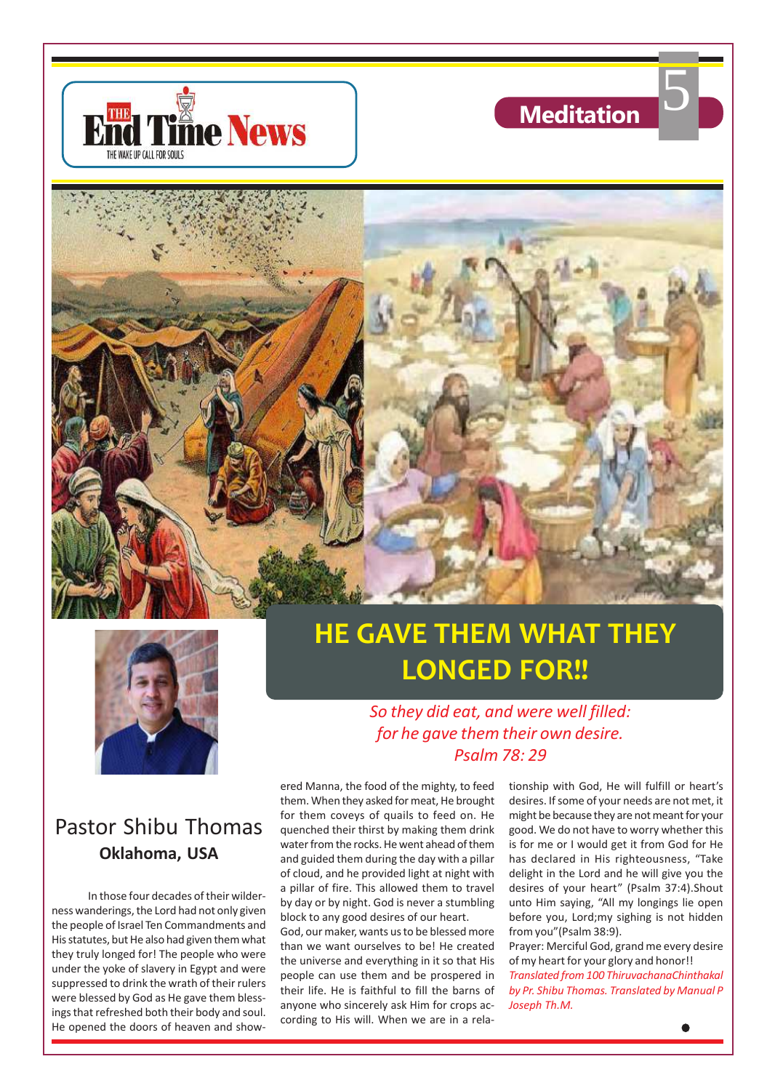









## Pastor Shibu Thomas **Oklahoma, USA**

In those four decades of their wilderness wanderings, the Lord had not only given the people of Israel Ten Commandments and His statutes, but He also had given them what they truly longed for! The people who were under the yoke of slavery in Egypt and were suppressed to drink the wrath of their rulers were blessed by God as He gave them blessings that refreshed both their body and soul. He opened the doors of heaven and show-

## **HE GAVE THEM WHAT THEY LONGED FOR!!**

*So they did eat, and were well filled: for he gave them their own desire. Psalm 78: 29*

ered Manna, the food of the mighty, to feed them. When they asked for meat, He brought for them coveys of quails to feed on. He quenched their thirst by making them drink water from the rocks. He went ahead of them and guided them during the day with a pillar of cloud, and he provided light at night with a pillar of fire. This allowed them to travel by day or by night. God is never a stumbling block to any good desires of our heart.

God, our maker, wants us to be blessed more than we want ourselves to be! He created the universe and everything in it so that His people can use them and be prospered in their life. He is faithful to fill the barns of anyone who sincerely ask Him for crops according to His will. When we are in a relationship with God, He will fulfill or heart's desires. If some of your needs are not met, it might be because they are not meant for your good. We do not have to worry whether this is for me or I would get it from God for He has declared in His righteousness, "Take delight in the Lord and he will give you the desires of your heart" (Psalm 37:4).Shout unto Him saying, "All my longings lie open before you, Lord;my sighing is not hidden from you"(Psalm 38:9).

Prayer: Merciful God, grand me every desire of my heart for your glory and honor!! *Translated from 100 ThiruvachanaChinthakal by Pr. Shibu Thomas. Translated by Manual P Joseph Th.M.*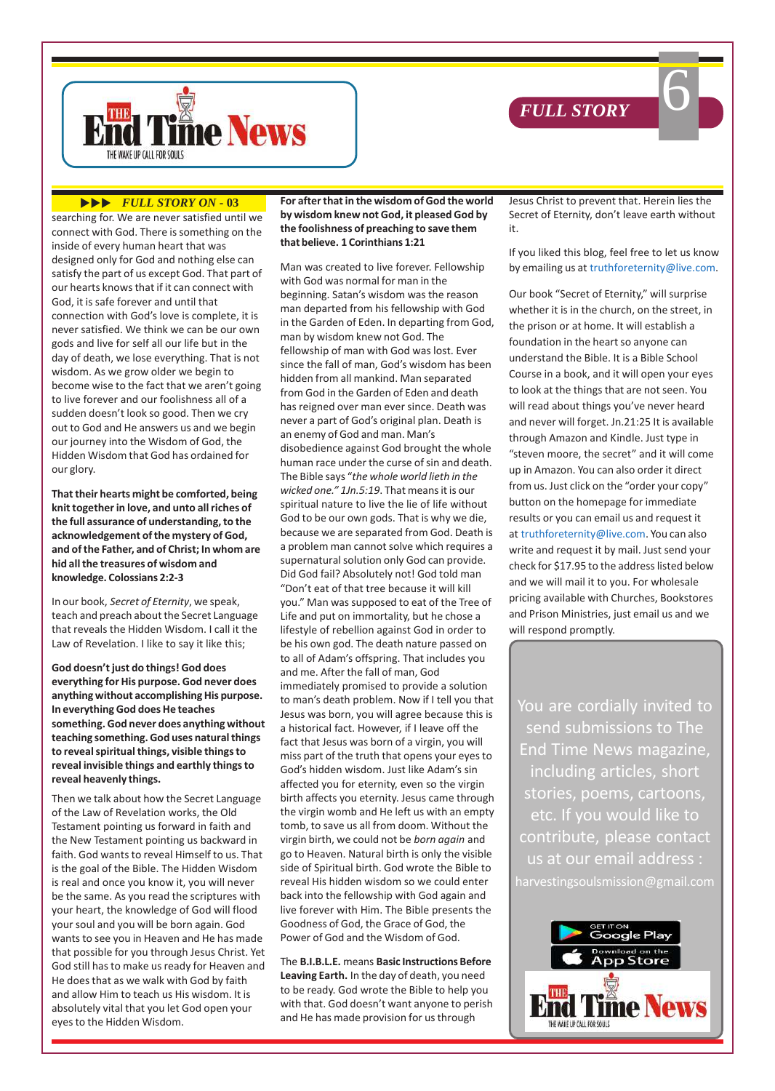



#### **EVLL STORY ON - 03**

searching for. We are never satisfied until we connect with God. There is something on the inside of every human heart that was designed only for God and nothing else can satisfy the part of us except God. That part of our hearts knows that if it can connect with God, it is safe forever and until that connection with God's love is complete, it is never satisfied. We think we can be our own gods and live for self all our life but in the day of death, we lose everything. That is not wisdom. As we grow older we begin to become wise to the fact that we aren't going to live forever and our foolishness all of a sudden doesn't look so good. Then we cry out to God and He answers us and we begin our journey into the Wisdom of God, the Hidden Wisdom that God has ordained for our glory.

**That their hearts might be comforted, being knit together in love, and unto all riches of the full assurance of understanding, to the acknowledgement of the mystery of God, and of the Father, and of Christ; In whom are hid all the treasures of wisdom and knowledge. Colossians 2:2-3**

In our book, *Secret of Eternity*, we speak, teach and preach about the Secret Language that reveals the Hidden Wisdom. I call it the Law of Revelation. I like to say it like this;

**God doesn't just do things! God does everything for His purpose. God never does anything without accomplishing His purpose. In everything God does He teaches something. God never does anything without teaching something. God uses natural things to reveal spiritual things, visible things to reveal invisible things and earthly things to reveal heavenly things.**

Then we talk about how the Secret Language of the Law of Revelation works, the Old Testament pointing us forward in faith and the New Testament pointing us backward in faith. God wants to reveal Himself to us. That is the goal of the Bible. The Hidden Wisdom is real and once you know it, you will never be the same. As you read the scriptures with your heart, the knowledge of God will flood your soul and you will be born again. God wants to see you in Heaven and He has made that possible for you through Jesus Christ. Yet God still has to make us ready for Heaven and He does that as we walk with God by faith and allow Him to teach us His wisdom. It is absolutely vital that you let God open your eyes to the Hidden Wisdom.

**For after that in the wisdom of God the world by wisdom knew not God, it pleased God by the foolishness of preaching to save them that believe. 1 Corinthians 1:21** 

Man was created to live forever. Fellowship with God was normal for man in the beginning. Satan's wisdom was the reason man departed from his fellowship with God in the Garden of Eden. In departing from God, man by wisdom knew not God. The fellowship of man with God was lost. Ever since the fall of man, God's wisdom has been hidden from all mankind. Man separated from God in the Garden of Eden and death has reigned over man ever since. Death was never a part of God's original plan. Death is an enemy of God and man. Man's disobedience against God brought the whole human race under the curse of sin and death. The Bible says "*the whole world lieth in the wicked one." 1Jn.5:19*. That means it is our spiritual nature to live the lie of life without God to be our own gods. That is why we die, because we are separated from God. Death is a problem man cannot solve which requires a supernatural solution only God can provide. Did God fail? Absolutely not! God told man "Don't eat of that tree because it will kill you." Man was supposed to eat of the Tree of Life and put on immortality, but he chose a lifestyle of rebellion against God in order to be his own god. The death nature passed on to all of Adam's offspring. That includes you and me. After the fall of man, God immediately promised to provide a solution to man's death problem. Now if I tell you that Jesus was born, you will agree because this is a historical fact. However, if I leave off the fact that Jesus was born of a virgin, you will miss part of the truth that opens your eyes to God's hidden wisdom. Just like Adam's sin affected you for eternity, even so the virgin birth affects you eternity. Jesus came through the virgin womb and He left us with an empty tomb, to save us all from doom. Without the virgin birth, we could not be *born again* and go to Heaven. Natural birth is only the visible side of Spiritual birth. God wrote the Bible to reveal His hidden wisdom so we could enter back into the fellowship with God again and live forever with Him. The Bible presents the Goodness of God, the Grace of God, the Power of God and the Wisdom of God.

The **B.I.B.L.E.** means **Basic Instructions Before Leaving Earth.** In the day of death, you need to be ready. God wrote the Bible to help you with that. God doesn't want anyone to perish and He has made provision for us through

Jesus Christ to prevent that. Herein lies the Secret of Eternity, don't leave earth without it.

6

If you liked this blog, feel free to let us know by emailing us at truthforeternity@live.com.

Our book "Secret of Eternity," will surprise whether it is in the church, on the street, in the prison or at home. It will establish a foundation in the heart so anyone can understand the Bible. It is a Bible School Course in a book, and it will open your eyes to look at the things that are not seen. You will read about things you've never heard and never will forget. Jn.21:25 It is available through Amazon and Kindle. Just type in "steven moore, the secret" and it will come up in Amazon. You can also order it direct from us. Just click on the "order your copy" button on the homepage for immediate results or you can email us and request it at truthforeternity@live.com. You can also write and request it by mail. Just send your check for \$17.95 to the address listed below and we will mail it to you. For wholesale pricing available with Churches, Bookstores and Prison Ministries, just email us and we will respond promptly.

You are cordially invited to send submissions to The End Time News magazine, including articles, short stories, poems, cartoons, etc. If you would like to contribute, please contact us at our email address : harvestingsoulsmission@gmail.com

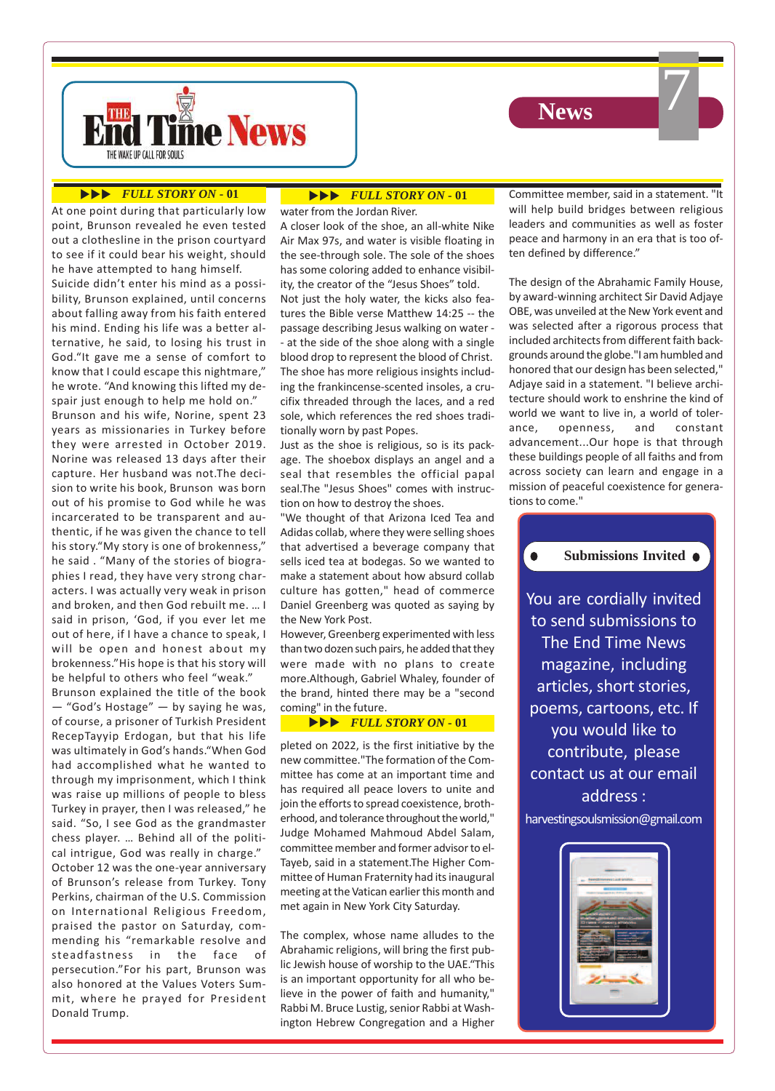



#### $\blacktriangleright\blacktriangleright\blacktriangleright$  *FULL STORY ON* - 01

At one point during that particularly low point, Brunson revealed he even tested out a clothesline in the prison courtyard to see if it could bear his weight, should he have attempted to hang himself.

Suicide didn't enter his mind as a possibility, Brunson explained, until concerns about falling away from his faith entered his mind. Ending his life was a better alternative, he said, to losing his trust in God."It gave me a sense of comfort to know that I could escape this nightmare," he wrote. "And knowing this lifted my despair just enough to help me hold on." Brunson and his wife, Norine, spent 23 years as missionaries in Turkey before

they were arrested in October 2019. Norine was released 13 days after their capture. Her husband was not.The decision to write his book, Brunson was born out of his promise to God while he was incarcerated to be transparent and authentic, if he was given the chance to tell his story."My story is one of brokenness," he said . "Many of the stories of biographies I read, they have very strong characters. I was actually very weak in prison and broken, and then God rebuilt me. … I said in prison, 'God, if you ever let me out of here, if I have a chance to speak, I will be open and honest about my brokenness."His hope is that his story will be helpful to others who feel "weak."

Brunson explained the title of the book — "God's Hostage" — by saying he was, of course, a prisoner of Turkish President RecepTayyip Erdogan, but that his life was ultimately in God's hands."When God had accomplished what he wanted to through my imprisonment, which I think was raise up millions of people to bless Turkey in prayer, then I was released," he said. "So, I see God as the grandmaster chess player. … Behind all of the political intrigue, God was really in charge." October 12 was the one-year anniversary of Brunson's release from Turkey. Tony Perkins, chairman of the U.S. Commission on International Religious Freedom, praised the pastor on Saturday, commending his "remarkable resolve and steadfastness in the face of persecution."For his part, Brunson was also honored at the Values Voters Summit, where he prayed for President Donald Trump.

#### **EVLL STORY ON - 01**

water from the Jordan River. A closer look of the shoe, an all-white Nike Air Max 97s, and water is visible floating in the see-through sole. The sole of the shoes has some coloring added to enhance visibility, the creator of the "Jesus Shoes" told. Not just the holy water, the kicks also features the Bible verse Matthew 14:25 -- the passage describing Jesus walking on water - - at the side of the shoe along with a single blood drop to represent the blood of Christ. The shoe has more religious insights including the frankincense-scented insoles, a crucifix threaded through the laces, and a red sole, which references the red shoes traditionally worn by past Popes.

Just as the shoe is religious, so is its package. The shoebox displays an angel and a seal that resembles the official papal seal.The "Jesus Shoes" comes with instruction on how to destroy the shoes.

"We thought of that Arizona Iced Tea and Adidas collab, where they were selling shoes that advertised a beverage company that sells iced tea at bodegas. So we wanted to make a statement about how absurd collab culture has gotten," head of commerce Daniel Greenberg was quoted as saying by the New York Post.

However, Greenberg experimented with less than two dozen such pairs, he added that they were made with no plans to create more.Although, Gabriel Whaley, founder of the brand, hinted there may be a "second coming" in the future.

#### **EVLL STORY ON - 01**

pleted on 2022, is the first initiative by the new committee."The formation of the Committee has come at an important time and has required all peace lovers to unite and join the efforts to spread coexistence, brotherhood, and tolerance throughout the world," Judge Mohamed Mahmoud Abdel Salam, committee member and former advisor to el-Tayeb, said in a statement.The Higher Committee of Human Fraternity had its inaugural meeting at the Vatican earlier this month and met again in New York City Saturday.

The complex, whose name alludes to the Abrahamic religions, will bring the first public Jewish house of worship to the UAE."This is an important opportunity for all who believe in the power of faith and humanity," Rabbi M. Bruce Lustig, senior Rabbi at Washington Hebrew Congregation and a Higher Committee member, said in a statement. "It will help build bridges between religious leaders and communities as well as foster peace and harmony in an era that is too often defined by difference."

7

The design of the Abrahamic Family House, by award-winning architect Sir David Adjaye OBE, was unveiled at the New York event and was selected after a rigorous process that included architects from different faith backgrounds around the globe."I am humbled and honored that our design has been selected," Adjaye said in a statement. "I believe architecture should work to enshrine the kind of world we want to live in, a world of tolerance, openness, and constant advancement...Our hope is that through these buildings people of all faiths and from across society can learn and engage in a mission of peaceful coexistence for generations to come."

You are cordially invited to send submissions to The End Time News magazine, including articles, short stories, poems, cartoons, etc. If

**Submissions Invited**

 $\bullet$ 

uuu *FULL STORY ON* **- 01** you would like to contribute, please contact us at our email address :

harvestingsoulsmission@gmail.com

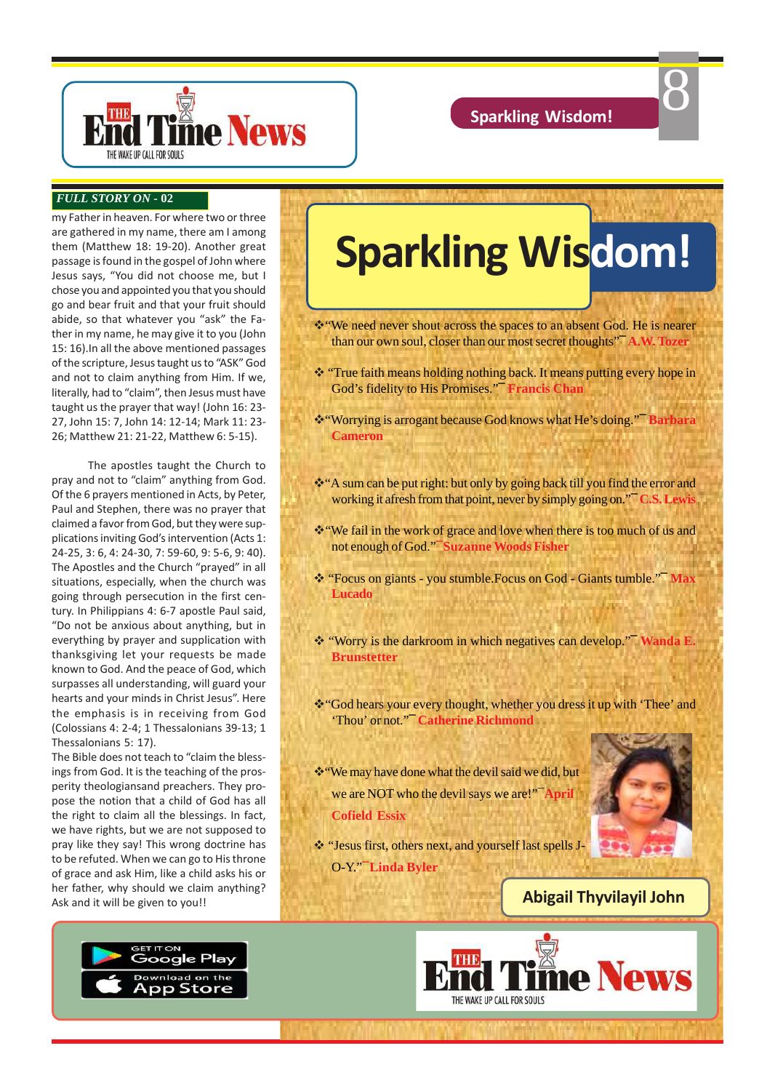

8



#### *FULL STORY ON* **- 02**

my Father in heaven. For where two or three are gathered in my name, there am I among them (Matthew 18: 19-20). Another great passage is found in the gospel of John where Jesus says, "You did not choose me, but I chose you and appointed you that you should go and bear fruit and that your fruit should abide, so that whatever you "ask" the Father in my name, he may give it to you (John 15: 16).In all the above mentioned passages of the scripture, Jesus taught us to "ASK" God and not to claim anything from Him. If we, literally, had to "claim", then Jesus must have taught us the prayer that way! (John 16: 23- 27, John 15: 7, John 14: 12-14; Mark 11: 23- 26; Matthew 21: 21-22, Matthew 6: 5-15).

The apostles taught the Church to pray and not to "claim" anything from God. Of the 6 prayers mentioned in Acts, by Peter, Paul and Stephen, there was no prayer that claimed a favor from God, but they were supplications inviting God's intervention (Acts 1: 24-25, 3: 6, 4: 24-30, 7: 59-60, 9: 5-6, 9: 40). The Apostles and the Church "prayed" in all situations, especially, when the church was going through persecution in the first century. In Philippians 4: 6-7 apostle Paul said, "Do not be anxious about anything, but in everything by prayer and supplication with thanksgiving let your requests be made known to God. And the peace of God, which surpasses all understanding, will guard your hearts and your minds in Christ Jesus". Here the emphasis is in receiving from God (Colossians 4: 2-4; 1 Thessalonians 39-13; 1 Thessalonians 5: 17).

The Bible does not teach to "claim the blessings from God. It is the teaching of the prosperity theologiansand preachers. They propose the notion that a child of God has all the right to claim all the blessings. In fact, we have rights, but we are not supposed to pray like they say! This wrong doctrine has to be refuted. When we can go to His throne of grace and ask Him, like a child asks his or her father, why should we claim anything? Ask and it will be given to you!!

# **Sparkling Wisdom!**

- v"We need never shout across the spaces to an absent God. He is nearer than our own soul, closer than our most secret thoughts"**¯ A.W. Tozer**
- \* "True faith means holding nothing back. It means putting every hope in God's fidelity to His Promises."**¯ Francis Chan**
- v"Worrying is arrogant because God knows what He's doing."**¯ Barbara Cameron**
- \*\* A sum can be put right: but only by going back till you find the error and working it afresh from that point, never by simply going on."**¯ C.S. Lewis**
- \* "We fail in the work of grace and love when there is too much of us and not enough of God."**¯ Suzanne Woods Fisher**
- v "Focus on giants you stumble.Focus on God Giants tumble."**¯ Max Lucado**
- **<sup>❖</sup>** "Worry is the darkroom in which negatives can develop." **Wanda E. Brunstetter**
- \* "God hears your every thought, whether you dress it up with 'Thee' and 'Thou' or not."**¯ Catherine Richmond**
- v"We may have done what the devil said we did, but we are NOT who the devil says we are!"¯ **April Cofield Essix**
- v "Jesus first, others next, and yourself last spells J-O-Y."**¯ Linda Byler**



#### **Abigail Thyvilayil John**



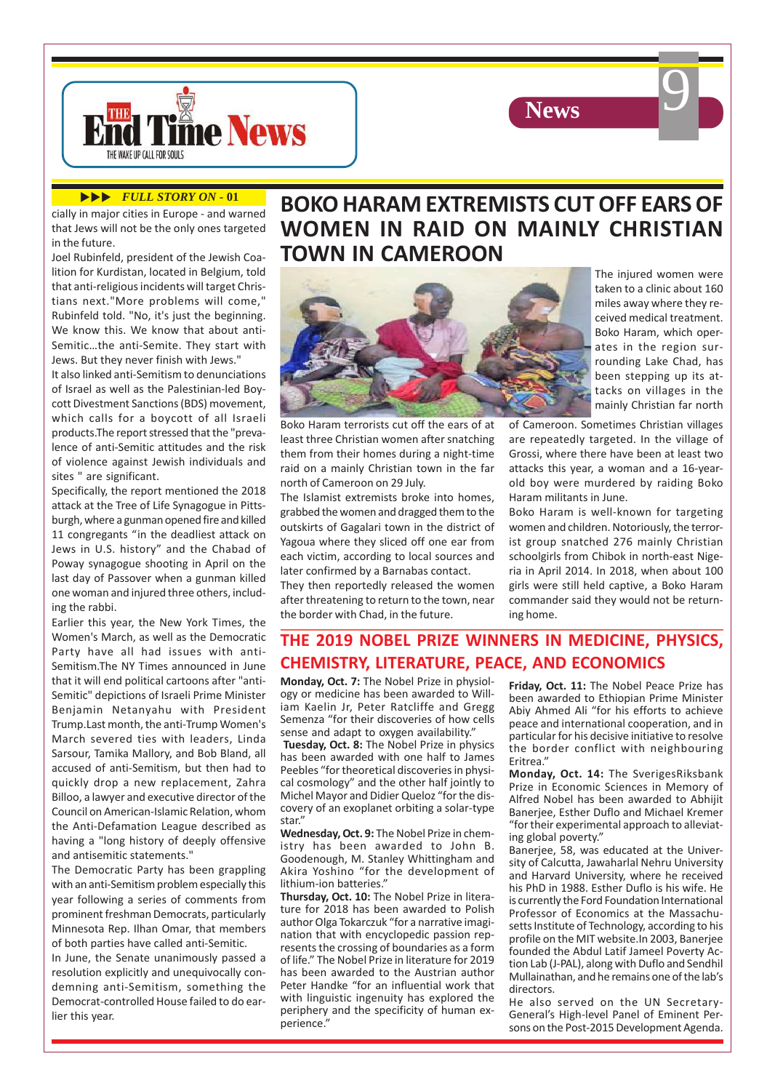



#### $\blacktriangleright\blacktriangleright\blacktriangleright$  *FULL STORY ON* - 01

cially in major cities in Europe - and warned that Jews will not be the only ones targeted in the future.

Joel Rubinfeld, president of the Jewish Coalition for Kurdistan, located in Belgium, told that anti-religious incidents will target Christians next."More problems will come," Rubinfeld told. "No, it's just the beginning. We know this. We know that about anti-Semitic…the anti-Semite. They start with Jews. But they never finish with Jews."

It also linked anti-Semitism to denunciations of Israel as well as the Palestinian-led Boycott Divestment Sanctions (BDS) movement, which calls for a boycott of all Israeli products.The report stressed that the "prevalence of anti-Semitic attitudes and the risk of violence against Jewish individuals and sites " are significant.

Specifically, the report mentioned the 2018 attack at the Tree of Life Synagogue in Pittsburgh, where a gunman opened fire and killed 11 congregants "in the deadliest attack on Jews in U.S. history" and the Chabad of Poway synagogue shooting in April on the last day of Passover when a gunman killed one woman and injured three others, including the rabbi.

Earlier this year, the New York Times, the Women's March, as well as the Democratic Party have all had issues with anti-Semitism.The NY Times announced in June that it will end political cartoons after "anti-Semitic" depictions of Israeli Prime Minister Benjamin Netanyahu with President Trump.Last month, the anti-Trump Women's March severed ties with leaders, Linda Sarsour, Tamika Mallory, and Bob Bland, all accused of anti-Semitism, but then had to quickly drop a new replacement, Zahra Billoo, a lawyer and executive director of the Council on American-Islamic Relation, whom the Anti-Defamation League described as having a "long history of deeply offensive and antisemitic statements."

The Democratic Party has been grappling with an anti-Semitism problem especially this year following a series of comments from prominent freshman Democrats, particularly Minnesota Rep. Ilhan Omar, that members of both parties have called anti-Semitic.

In June, the Senate unanimously passed a resolution explicitly and unequivocally condemning anti-Semitism, something the Democrat-controlled House failed to do earlier this year.

## **BOKO HARAM EXTREMISTS CUT OFF EARS OF WOMEN IN RAID ON MAINLY CHRISTIAN TOWN IN CAMEROON**



Boko Haram terrorists cut off the ears of at least three Christian women after snatching them from their homes during a night-time raid on a mainly Christian town in the far north of Cameroon on 29 July.

The Islamist extremists broke into homes, grabbed the women and dragged them to the outskirts of Gagalari town in the district of Yagoua where they sliced off one ear from each victim, according to local sources and later confirmed by a Barnabas contact.

They then reportedly released the women after threatening to return to the town, near the border with Chad, in the future.

The injured women were taken to a clinic about 160 miles away where they received medical treatment. Boko Haram, which operates in the region surrounding Lake Chad, has been stepping up its attacks on villages in the mainly Christian far north

of Cameroon. Sometimes Christian villages are repeatedly targeted. In the village of Grossi, where there have been at least two attacks this year, a woman and a 16-yearold boy were murdered by raiding Boko Haram militants in June.

Boko Haram is well-known for targeting women and children. Notoriously, the terrorist group snatched 276 mainly Christian schoolgirls from Chibok in north-east Nigeria in April 2014. In 2018, when about 100 girls were still held captive, a Boko Haram commander said they would not be returning home.

### **THE 2019 NOBEL PRIZE WINNERS IN MEDICINE, PHYSICS, CHEMISTRY, LITERATURE, PEACE, AND ECONOMICS**

**Monday, Oct. 7:** The Nobel Prize in physiology or medicine has been awarded to William Kaelin Jr, Peter Ratcliffe and Gregg Semenza "for their discoveries of how cells sense and adapt to oxygen availability."

 **Tuesday, Oct. 8:** The Nobel Prize in physics has been awarded with one half to James Peebles "for theoretical discoveries in physical cosmology" and the other half jointly to Michel Mayor and Didier Queloz "for the discovery of an exoplanet orbiting a solar-type star."

**Wednesday, Oct. 9:** The Nobel Prize in chemistry has been awarded to John B. Goodenough, M. Stanley Whittingham and Akira Yoshino "for the development of lithium-ion batteries."

**Thursday, Oct. 10:** The Nobel Prize in literature for 2018 has been awarded to Polish author Olga Tokarczuk "for a narrative imagination that with encyclopedic passion represents the crossing of boundaries as a form of life." The Nobel Prize in literature for 2019 has been awarded to the Austrian author Peter Handke "for an influential work that with linguistic ingenuity has explored the periphery and the specificity of human experience."

**Friday, Oct. 11:** The Nobel Peace Prize has been awarded to Ethiopian Prime Minister Abiy Ahmed Ali "for his efforts to achieve peace and international cooperation, and in particular for his decisive initiative to resolve the border conflict with neighbouring Eritrea."

**Monday, Oct. 14:** The SverigesRiksbank Prize in Economic Sciences in Memory of Alfred Nobel has been awarded to Abhijit Banerjee, Esther Duflo and Michael Kremer "for their experimental approach to alleviating global poverty."

Banerjee, 58, was educated at the University of Calcutta, Jawaharlal Nehru University and Harvard University, where he received his PhD in 1988. Esther Duflo is his wife. He is currently the Ford Foundation International Professor of Economics at the Massachusetts Institute of Technology, according to his profile on the MIT website.In 2003, Banerjee founded the Abdul Latif Jameel Poverty Action Lab (J-PAL), along with Duflo and Sendhil Mullainathan, and he remains one of the lab's directors.

He also served on the UN Secretary-General's High-level Panel of Eminent Persons on the Post-2015 Development Agenda.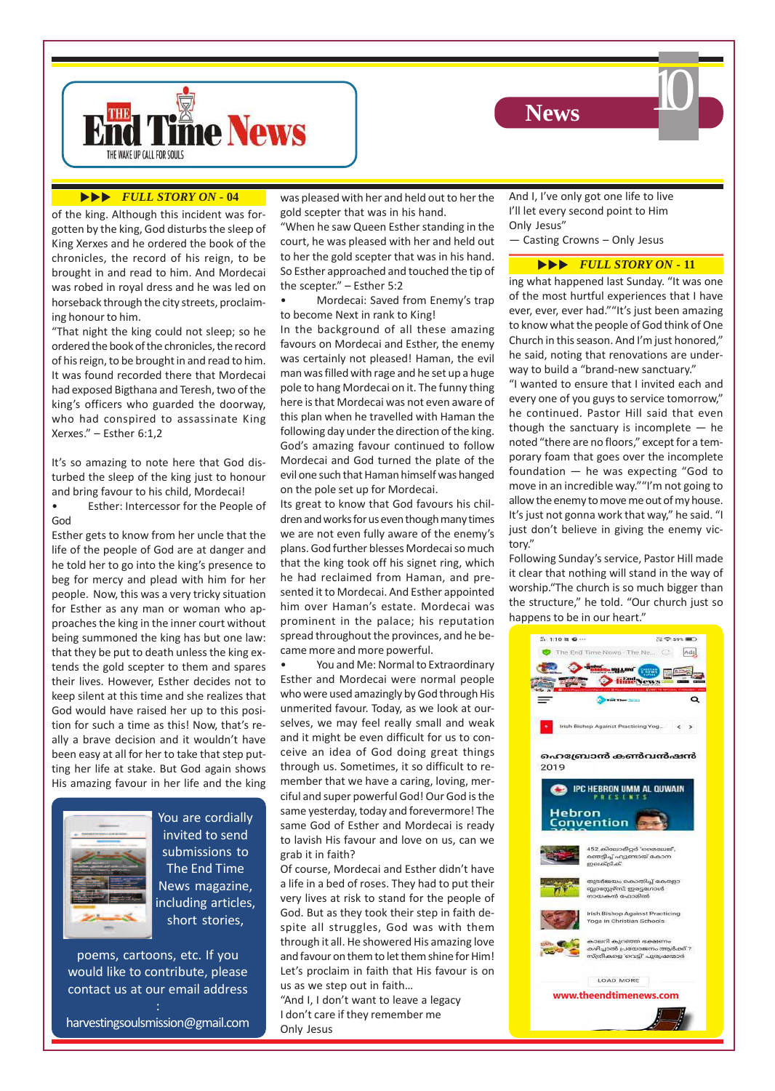



#### **EVLL STORY ON - 04**

of the king. Although this incident was forgotten by the king, God disturbs the sleep of King Xerxes and he ordered the book of the chronicles, the record of his reign, to be brought in and read to him. And Mordecai was robed in royal dress and he was led on horseback through the city streets, proclaiming honour to him.

"That night the king could not sleep; so he ordered the book of the chronicles, the record of his reign, to be brought in and read to him. It was found recorded there that Mordecai had exposed Bigthana and Teresh, two of the king's officers who guarded the doorway, who had conspired to assassinate King Xerxes." – Esther 6:1,2

It's so amazing to note here that God disturbed the sleep of the king just to honour and bring favour to his child, Mordecai!

• Esther: Intercessor for the People of God

Esther gets to know from her uncle that the life of the people of God are at danger and he told her to go into the king's presence to beg for mercy and plead with him for her people. Now, this was a very tricky situation for Esther as any man or woman who approaches the king in the inner court without being summoned the king has but one law: that they be put to death unless the king extends the gold scepter to them and spares their lives. However, Esther decides not to keep silent at this time and she realizes that God would have raised her up to this position for such a time as this! Now, that's really a brave decision and it wouldn't have been easy at all for her to take that step putting her life at stake. But God again shows His amazing favour in her life and the king



You are cordially invited to send submissions to The End Time News magazine, including articles, short stories,

poems, cartoons, etc. If you would like to contribute, please contact us at our email address

: harvestingsoulsmission@gmail.com was pleased with her and held out to her the gold scepter that was in his hand.

"When he saw Queen Esther standing in the court, he was pleased with her and held out to her the gold scepter that was in his hand. So Esther approached and touched the tip of the scepter." – Esther 5:2

• Mordecai: Saved from Enemy's trap to become Next in rank to King!

In the background of all these amazing favours on Mordecai and Esther, the enemy was certainly not pleased! Haman, the evil man was filled with rage and he set up a huge pole to hang Mordecai on it. The funny thing here is that Mordecai was not even aware of this plan when he travelled with Haman the following day under the direction of the king. God's amazing favour continued to follow Mordecai and God turned the plate of the evil one such that Haman himself was hanged on the pole set up for Mordecai.

Its great to know that God favours his children and works for us even though many times we are not even fully aware of the enemy's plans. God further blesses Mordecai so much that the king took off his signet ring, which he had reclaimed from Haman, and presented it to Mordecai. And Esther appointed him over Haman's estate. Mordecai was prominent in the palace; his reputation spread throughout the provinces, and he became more and more powerful.

• You and Me: Normal to Extraordinary Esther and Mordecai were normal people who were used amazingly by God through His unmerited favour. Today, as we look at ourselves, we may feel really small and weak and it might be even difficult for us to conceive an idea of God doing great things through us. Sometimes, it so difficult to remember that we have a caring, loving, merciful and super powerful God! Our God is the same yesterday, today and forevermore! The same God of Esther and Mordecai is ready to lavish His favour and love on us, can we grab it in faith?

Of course, Mordecai and Esther didn't have a life in a bed of roses. They had to put their very lives at risk to stand for the people of God. But as they took their step in faith despite all struggles, God was with them through it all. He showered His amazing love and favour on them to let them shine for Him! Let's proclaim in faith that His favour is on us as we step out in faith…

"And I, I don't want to leave a legacy I don't care if they remember me Only Jesus

And I, I've only got one life to live I'll let every second point to Him Only Jesus" — Casting Crowns – Only Jesus

### **EVALL STORY ON** - 11

ing what happened last Sunday. "It was one of the most hurtful experiences that I have ever, ever, ever had.""It's just been amazing to know what the people of God think of One Church in this season. And I'm just honored," he said, noting that renovations are under-

way to build a "brand-new sanctuary." "I wanted to ensure that I invited each and every one of you guys to service tomorrow," he continued. Pastor Hill said that even though the sanctuary is incomplete  $-$  he noted "there are no floors," except for a temporary foam that goes over the incomplete foundation — he was expecting "God to move in an incredible way.""I'm not going to allow the enemy to move me out of my house. It's just not gonna work that way," he said. "I just don't believe in giving the enemy victory."

Following Sunday's service, Pastor Hill made it clear that nothing will stand in the way of worship."The church is so much bigger than the structure," he told. "Our church just so happens to be in our heart."

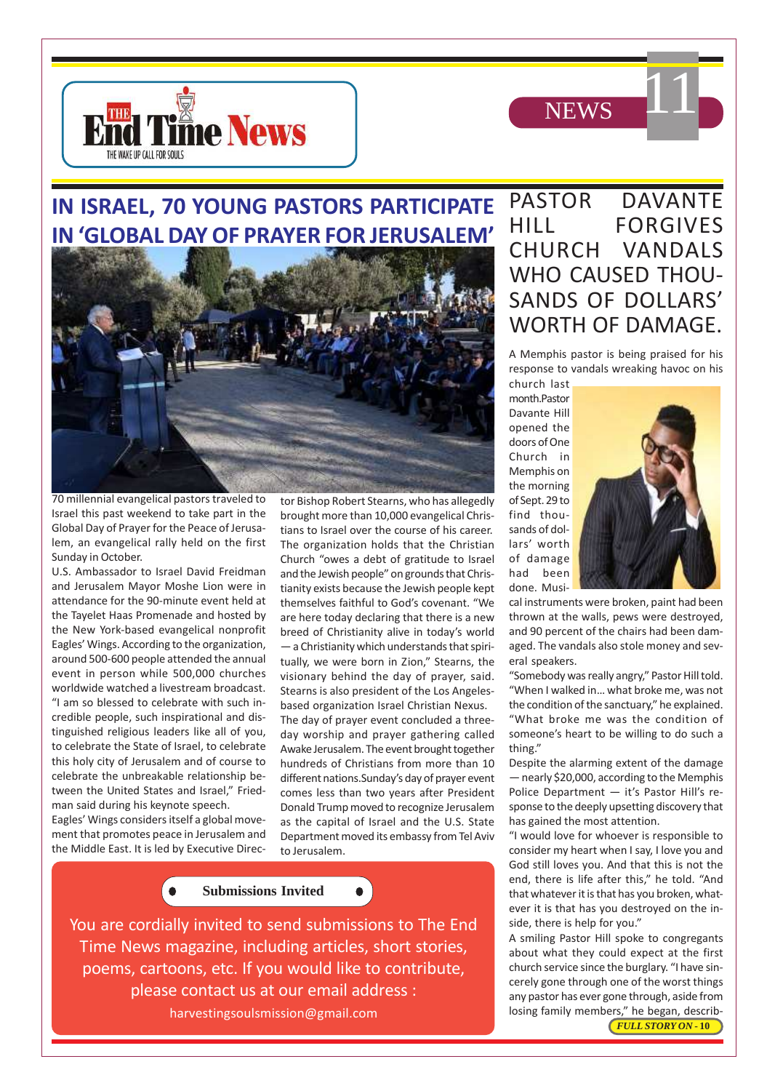



## **IN ISRAEL, 70 YOUNG PASTORS PARTICIPATE IN 'GLOBAL DAY OF PRAYER FOR JERUSALEM'**



70 millennial evangelical pastors traveled to Israel this past weekend to take part in the Global Day of Prayer for the Peace of Jerusalem, an evangelical rally held on the first Sunday in October.

U.S. Ambassador to Israel David Freidman and Jerusalem Mayor Moshe Lion were in attendance for the 90-minute event held at the Tayelet Haas Promenade and hosted by the New York-based evangelical nonprofit Eagles' Wings. According to the organization, around 500-600 people attended the annual event in person while 500,000 churches worldwide watched a livestream broadcast. "I am so blessed to celebrate with such incredible people, such inspirational and distinguished religious leaders like all of you, to celebrate the State of Israel, to celebrate this holy city of Jerusalem and of course to celebrate the unbreakable relationship between the United States and Israel," Friedman said during his keynote speech. Eagles' Wings considers itself a global movement that promotes peace in Jerusalem and

the Middle East. It is led by Executive Direc-

tor Bishop Robert Stearns, who has allegedly brought more than 10,000 evangelical Christians to Israel over the course of his career. The organization holds that the Christian Church "owes a debt of gratitude to Israel and the Jewish people" on grounds that Christianity exists because the Jewish people kept themselves faithful to God's covenant. "We are here today declaring that there is a new breed of Christianity alive in today's world — a Christianity which understands that spiritually, we were born in Zion," Stearns, the visionary behind the day of prayer, said. Stearns is also president of the Los Angelesbased organization Israel Christian Nexus. The day of prayer event concluded a threeday worship and prayer gathering called Awake Jerusalem. The event brought together hundreds of Christians from more than 10 different nations.Sunday's day of prayer event comes less than two years after President Donald Trump moved to recognize Jerusalem

as the capital of Israel and the U.S. State Department moved its embassy from Tel Aviv to Jerusalem.

#### **Submissions Invited**

You are cordially invited to send submissions to The End Time News magazine, including articles, short stories, poems, cartoons, etc. If you would like to contribute, please contact us at our email address : harvestingsoulsmission@gmail.com

## PASTOR DAVANTE HILL FORGIVES CHURCH VANDALS WHO CAUSED THOU-SANDS OF DOLLARS' WORTH OF DAMAGE.

A Memphis pastor is being praised for his response to vandals wreaking havoc on his

church last month.Pastor Davante Hill opened the doors of One Church in Memphis on the morning of Sept. 29 to find thousands of dollars' worth of damage had been done. Musi-



cal instruments were broken, paint had been thrown at the walls, pews were destroyed, and 90 percent of the chairs had been damaged. The vandals also stole money and several speakers.

"Somebody was really angry," Pastor Hill told. "When I walked in… what broke me, was not the condition of the sanctuary," he explained. "What broke me was the condition of someone's heart to be willing to do such a thing."

Despite the alarming extent of the damage — nearly \$20,000, according to the Memphis Police Department — it's Pastor Hill's response to the deeply upsetting discovery that has gained the most attention.

"I would love for whoever is responsible to consider my heart when I say, I love you and God still loves you. And that this is not the end, there is life after this," he told. "And that whatever it is that has you broken, whatever it is that has you destroyed on the inside, there is help for you."

*FULL STORY ON* **- 10** A smiling Pastor Hill spoke to congregants about what they could expect at the first church service since the burglary. "I have sincerely gone through one of the worst things any pastor has ever gone through, aside from losing family members," he began, describ-